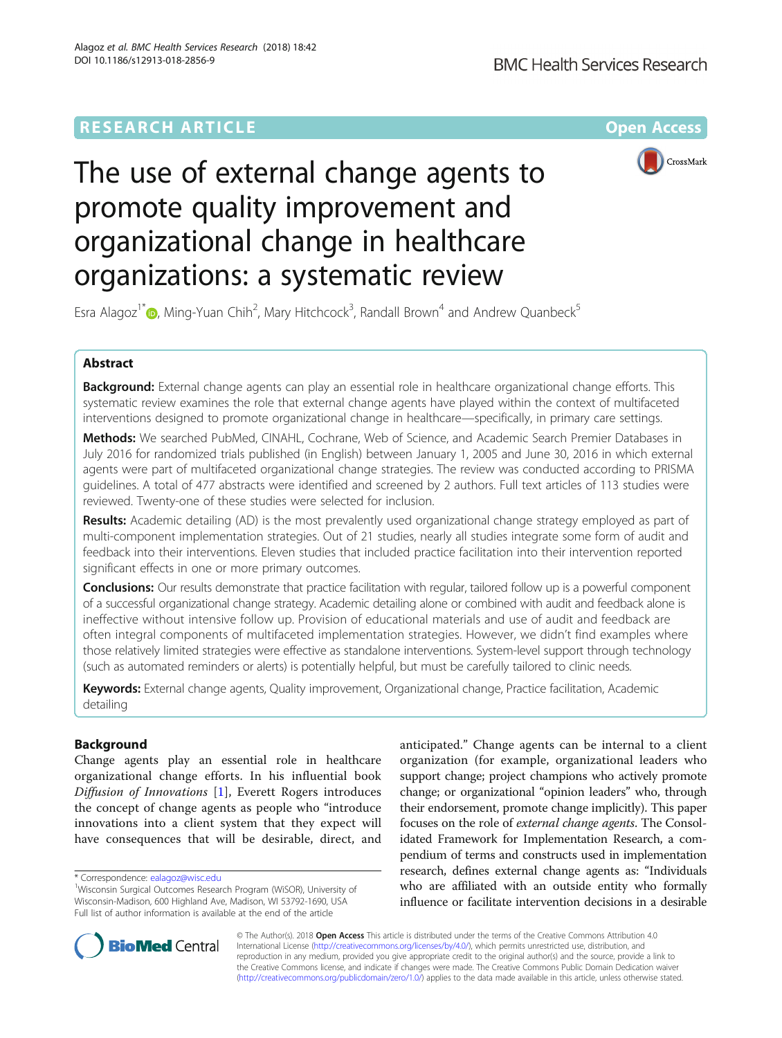# **RESEARCH ARTICLE Example 2014 12:30 The Company Access** (RESEARCH ARTICLE



# The use of external change agents to promote quality improvement and organizational change in healthcare organizations: a systematic review

Esra Alagoz<sup>1[\\*](http://orcid.org/0000-0001-7046-006X)</sup> (**p**, Ming-Yuan Chih<sup>2</sup>, Mary Hitchcock<sup>3</sup>, Randall Brown<sup>4</sup> and Andrew Quanbeck<sup>5</sup>

# Abstract

Background: External change agents can play an essential role in healthcare organizational change efforts. This systematic review examines the role that external change agents have played within the context of multifaceted interventions designed to promote organizational change in healthcare—specifically, in primary care settings.

Methods: We searched PubMed, CINAHL, Cochrane, Web of Science, and Academic Search Premier Databases in July 2016 for randomized trials published (in English) between January 1, 2005 and June 30, 2016 in which external agents were part of multifaceted organizational change strategies. The review was conducted according to PRISMA guidelines. A total of 477 abstracts were identified and screened by 2 authors. Full text articles of 113 studies were reviewed. Twenty-one of these studies were selected for inclusion.

Results: Academic detailing (AD) is the most prevalently used organizational change strategy employed as part of multi-component implementation strategies. Out of 21 studies, nearly all studies integrate some form of audit and feedback into their interventions. Eleven studies that included practice facilitation into their intervention reported significant effects in one or more primary outcomes.

**Conclusions:** Our results demonstrate that practice facilitation with regular, tailored follow up is a powerful component of a successful organizational change strategy. Academic detailing alone or combined with audit and feedback alone is ineffective without intensive follow up. Provision of educational materials and use of audit and feedback are often integral components of multifaceted implementation strategies. However, we didn't find examples where those relatively limited strategies were effective as standalone interventions. System-level support through technology (such as automated reminders or alerts) is potentially helpful, but must be carefully tailored to clinic needs.

Keywords: External change agents, Quality improvement, Organizational change, Practice facilitation, Academic detailing

# Background

Change agents play an essential role in healthcare organizational change efforts. In his influential book Diffusion of Innovations [[1\]](#page-11-0), Everett Rogers introduces the concept of change agents as people who "introduce innovations into a client system that they expect will have consequences that will be desirable, direct, and

anticipated." Change agents can be internal to a client organization (for example, organizational leaders who support change; project champions who actively promote change; or organizational "opinion leaders" who, through their endorsement, promote change implicitly). This paper focuses on the role of external change agents. The Consolidated Framework for Implementation Research, a compendium of terms and constructs used in implementation research, defines external change agents as: "Individuals who are affiliated with an outside entity who formally influence or facilitate intervention decisions in a desirable



© The Author(s). 2018 Open Access This article is distributed under the terms of the Creative Commons Attribution 4.0 International License [\(http://creativecommons.org/licenses/by/4.0/](http://creativecommons.org/licenses/by/4.0/)), which permits unrestricted use, distribution, and reproduction in any medium, provided you give appropriate credit to the original author(s) and the source, provide a link to the Creative Commons license, and indicate if changes were made. The Creative Commons Public Domain Dedication waiver [\(http://creativecommons.org/publicdomain/zero/1.0/](http://creativecommons.org/publicdomain/zero/1.0/)) applies to the data made available in this article, unless otherwise stated.

<sup>\*</sup> Correspondence: [ealagoz@wisc.edu](mailto:ealagoz@wisc.edu) <sup>1</sup>

<sup>&</sup>lt;sup>1</sup>Wisconsin Surgical Outcomes Research Program (WiSOR), University of Wisconsin-Madison, 600 Highland Ave, Madison, WI 53792-1690, USA Full list of author information is available at the end of the article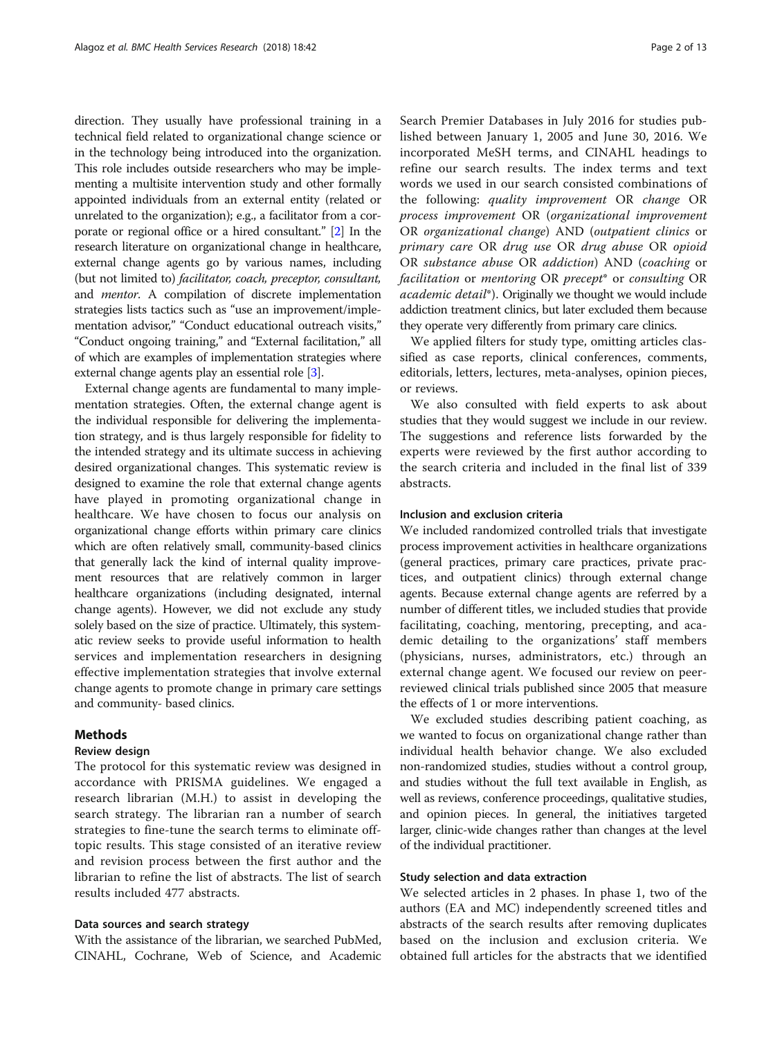direction. They usually have professional training in a technical field related to organizational change science or in the technology being introduced into the organization. This role includes outside researchers who may be implementing a multisite intervention study and other formally appointed individuals from an external entity (related or unrelated to the organization); e.g., a facilitator from a corporate or regional office or a hired consultant." [[2](#page-11-0)] In the research literature on organizational change in healthcare, external change agents go by various names, including (but not limited to) facilitator, coach, preceptor, consultant, and mentor. A compilation of discrete implementation strategies lists tactics such as "use an improvement/implementation advisor," "Conduct educational outreach visits," "Conduct ongoing training," and "External facilitation," all of which are examples of implementation strategies where external change agents play an essential role [[3\]](#page-11-0).

External change agents are fundamental to many implementation strategies. Often, the external change agent is the individual responsible for delivering the implementation strategy, and is thus largely responsible for fidelity to the intended strategy and its ultimate success in achieving desired organizational changes. This systematic review is designed to examine the role that external change agents have played in promoting organizational change in healthcare. We have chosen to focus our analysis on organizational change efforts within primary care clinics which are often relatively small, community-based clinics that generally lack the kind of internal quality improvement resources that are relatively common in larger healthcare organizations (including designated, internal change agents). However, we did not exclude any study solely based on the size of practice. Ultimately, this systematic review seeks to provide useful information to health services and implementation researchers in designing effective implementation strategies that involve external change agents to promote change in primary care settings and community- based clinics.

# Methods

# Review design

The protocol for this systematic review was designed in accordance with PRISMA guidelines. We engaged a research librarian (M.H.) to assist in developing the search strategy. The librarian ran a number of search strategies to fine-tune the search terms to eliminate offtopic results. This stage consisted of an iterative review and revision process between the first author and the librarian to refine the list of abstracts. The list of search results included 477 abstracts.

# Data sources and search strategy

With the assistance of the librarian, we searched PubMed, CINAHL, Cochrane, Web of Science, and Academic

Search Premier Databases in July 2016 for studies published between January 1, 2005 and June 30, 2016. We incorporated MeSH terms, and CINAHL headings to refine our search results. The index terms and text words we used in our search consisted combinations of the following: quality improvement OR change OR process improvement OR (organizational improvement OR organizational change) AND (outpatient clinics or primary care OR drug use OR drug abuse OR opioid OR substance abuse OR addiction) AND (coaching or facilitation or mentoring OR precept\* or consulting OR academic detail\*). Originally we thought we would include addiction treatment clinics, but later excluded them because they operate very differently from primary care clinics.

We applied filters for study type, omitting articles classified as case reports, clinical conferences, comments, editorials, letters, lectures, meta-analyses, opinion pieces, or reviews.

We also consulted with field experts to ask about studies that they would suggest we include in our review. The suggestions and reference lists forwarded by the experts were reviewed by the first author according to the search criteria and included in the final list of 339 abstracts.

# Inclusion and exclusion criteria

We included randomized controlled trials that investigate process improvement activities in healthcare organizations (general practices, primary care practices, private practices, and outpatient clinics) through external change agents. Because external change agents are referred by a number of different titles, we included studies that provide facilitating, coaching, mentoring, precepting, and academic detailing to the organizations' staff members (physicians, nurses, administrators, etc.) through an external change agent. We focused our review on peerreviewed clinical trials published since 2005 that measure the effects of 1 or more interventions.

We excluded studies describing patient coaching, as we wanted to focus on organizational change rather than individual health behavior change. We also excluded non-randomized studies, studies without a control group, and studies without the full text available in English, as well as reviews, conference proceedings, qualitative studies, and opinion pieces. In general, the initiatives targeted larger, clinic-wide changes rather than changes at the level of the individual practitioner.

# Study selection and data extraction

We selected articles in 2 phases. In phase 1, two of the authors (EA and MC) independently screened titles and abstracts of the search results after removing duplicates based on the inclusion and exclusion criteria. We obtained full articles for the abstracts that we identified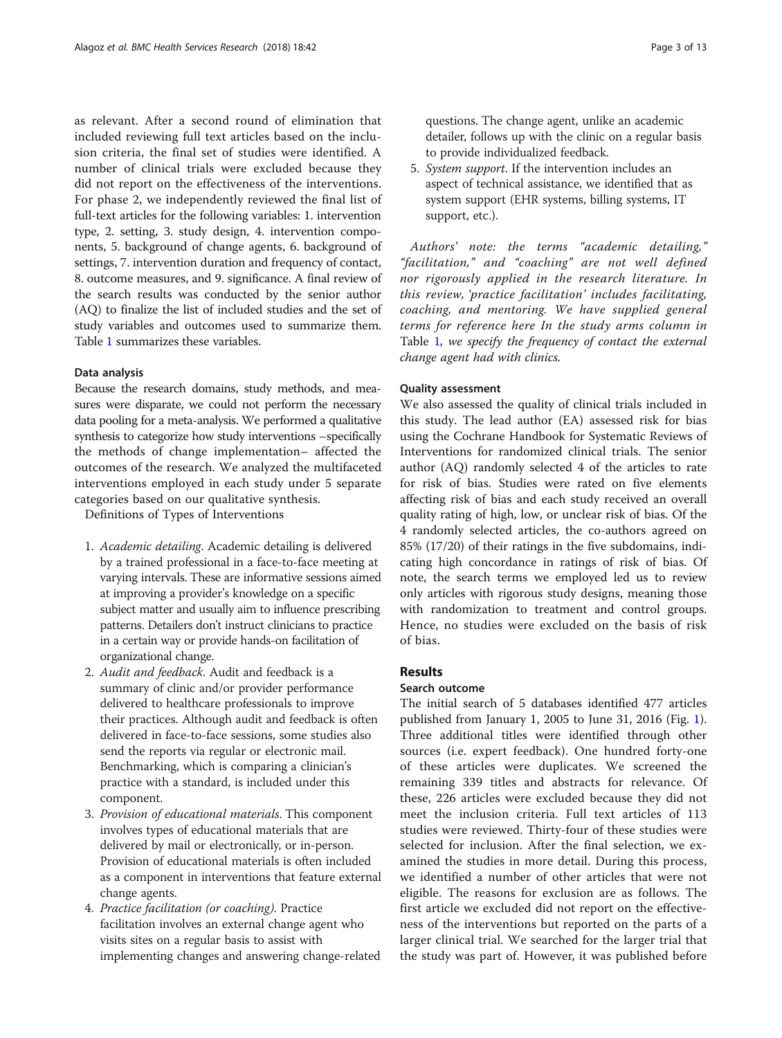as relevant. After a second round of elimination that included reviewing full text articles based on the inclusion criteria, the final set of studies were identified. A number of clinical trials were excluded because they did not report on the effectiveness of the interventions. For phase 2, we independently reviewed the final list of full-text articles for the following variables: 1. intervention type, 2. setting, 3. study design, 4. intervention components, 5. background of change agents, 6. background of settings, 7. intervention duration and frequency of contact, 8. outcome measures, and 9. significance. A final review of the search results was conducted by the senior author (AQ) to finalize the list of included studies and the set of study variables and outcomes used to summarize them. Table [1](#page-3-0) summarizes these variables.

### Data analysis

Because the research domains, study methods, and measures were disparate, we could not perform the necessary data pooling for a meta-analysis. We performed a qualitative synthesis to categorize how study interventions –specifically the methods of change implementation– affected the outcomes of the research. We analyzed the multifaceted interventions employed in each study under 5 separate categories based on our qualitative synthesis.

Definitions of Types of Interventions

- 1. Academic detailing. Academic detailing is delivered by a trained professional in a face-to-face meeting at varying intervals. These are informative sessions aimed at improving a provider's knowledge on a specific subject matter and usually aim to influence prescribing patterns. Detailers don't instruct clinicians to practice in a certain way or provide hands-on facilitation of organizational change.
- 2. Audit and feedback. Audit and feedback is a summary of clinic and/or provider performance delivered to healthcare professionals to improve their practices. Although audit and feedback is often delivered in face-to-face sessions, some studies also send the reports via regular or electronic mail. Benchmarking, which is comparing a clinician's practice with a standard, is included under this component.
- 3. Provision of educational materials. This component involves types of educational materials that are delivered by mail or electronically, or in-person. Provision of educational materials is often included as a component in interventions that feature external change agents.
- 4. Practice facilitation (or coaching). Practice facilitation involves an external change agent who visits sites on a regular basis to assist with implementing changes and answering change-related

questions. The change agent, unlike an academic detailer, follows up with the clinic on a regular basis to provide individualized feedback.

5. System support. If the intervention includes an aspect of technical assistance, we identified that as system support (EHR systems, billing systems, IT support, etc.).

Authors' note: the terms "academic detailing," "facilitation," and "coaching" are not well defined nor rigorously applied in the research literature. In this review, 'practice facilitation' includes facilitating, coaching, and mentoring. We have supplied general terms for reference here In the study arms column in Table [1](#page-3-0), we specify the frequency of contact the external change agent had with clinics.

### Quality assessment

We also assessed the quality of clinical trials included in this study. The lead author (EA) assessed risk for bias using the Cochrane Handbook for Systematic Reviews of Interventions for randomized clinical trials. The senior author (AQ) randomly selected 4 of the articles to rate for risk of bias. Studies were rated on five elements affecting risk of bias and each study received an overall quality rating of high, low, or unclear risk of bias. Of the 4 randomly selected articles, the co-authors agreed on 85% (17/20) of their ratings in the five subdomains, indicating high concordance in ratings of risk of bias. Of note, the search terms we employed led us to review only articles with rigorous study designs, meaning those with randomization to treatment and control groups. Hence, no studies were excluded on the basis of risk of bias.

# Results

#### Search outcome

The initial search of 5 databases identified 477 articles published from January 1, 2005 to June 31, 2016 (Fig. [1](#page-8-0)). Three additional titles were identified through other sources (i.e. expert feedback). One hundred forty-one of these articles were duplicates. We screened the remaining 339 titles and abstracts for relevance. Of these, 226 articles were excluded because they did not meet the inclusion criteria. Full text articles of 113 studies were reviewed. Thirty-four of these studies were selected for inclusion. After the final selection, we examined the studies in more detail. During this process, we identified a number of other articles that were not eligible. The reasons for exclusion are as follows. The first article we excluded did not report on the effectiveness of the interventions but reported on the parts of a larger clinical trial. We searched for the larger trial that the study was part of. However, it was published before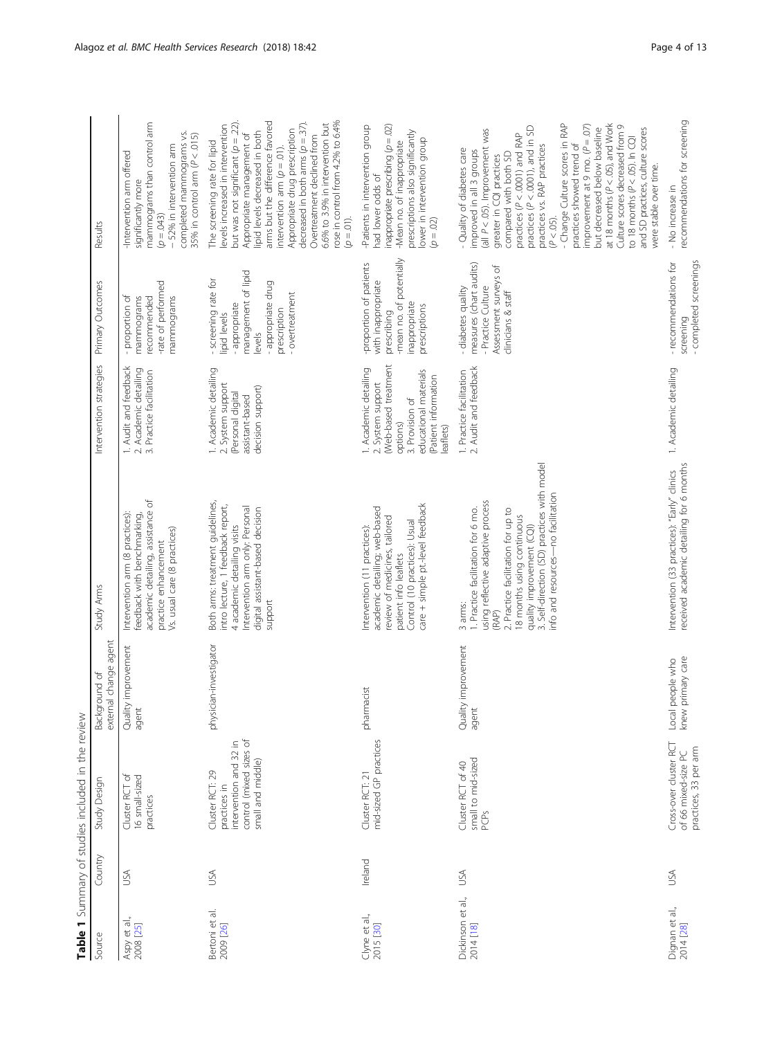<span id="page-3-0"></span>

|                                |         | Table 1 Summary of studies included in the review                                                         |                                           |                                                                                                                                                                                                                                                                                   |                                                                                                                                                                 |                                                                                                                                                 |                                                                                                                                                                                                                                                                                                                                                                                                                                                                                                                                                                                        |
|--------------------------------|---------|-----------------------------------------------------------------------------------------------------------|-------------------------------------------|-----------------------------------------------------------------------------------------------------------------------------------------------------------------------------------------------------------------------------------------------------------------------------------|-----------------------------------------------------------------------------------------------------------------------------------------------------------------|-------------------------------------------------------------------------------------------------------------------------------------------------|----------------------------------------------------------------------------------------------------------------------------------------------------------------------------------------------------------------------------------------------------------------------------------------------------------------------------------------------------------------------------------------------------------------------------------------------------------------------------------------------------------------------------------------------------------------------------------------|
| Source                         | Country | <b>Study Design</b>                                                                                       | change agent<br>Background of<br>external | Study Arms                                                                                                                                                                                                                                                                        | Intervention strategies                                                                                                                                         | Primary Outcomes                                                                                                                                | Results                                                                                                                                                                                                                                                                                                                                                                                                                                                                                                                                                                                |
| Aspy et al.,<br>2008 [25]      | SÁ      | Cluster RCT of<br>16 small-sized<br>practices                                                             | Quality improvement<br>agent              | academic detailing, assistance of<br>Intervention arm (8 practices):<br>feedback with benchmarking,<br>Vs. usual care (8 practices)<br>practice enhancement                                                                                                                       | 1. Audit and feedback<br>2. Academic detailing<br>Practice facilitation<br>$\sim$                                                                               | -rate of performed<br>- proportion of<br>recommended<br>mammograms<br>mammograms                                                                | mammograms than control arm<br>completed mammograms vs.<br>35% in control arm (P < .015)<br>-52% in intervention arm<br>-Intervention am offered<br>significantly more<br>$(D = .043)$                                                                                                                                                                                                                                                                                                                                                                                                 |
| Bertoni et al.<br>2009 [26]    | USA     | control (mixed sizes of<br>intervention and 32 in<br>small and middle)<br>Cluster RCT: 29<br>practices in | physician-investigator                    | Both arms: treatment guidelines,<br>intro lecture, 1 feedback report,<br>Intervention arm only: Personal<br>digital assistant-based decision<br>4 academic detailing visits<br>support                                                                                            | 1. Academic detailing<br>2. System support<br>decision support)<br>(Personal digital<br>assistant-based                                                         | management of lipid<br>- screening rate for<br>- appropriate drug<br>- overtreatment<br>- appropriate<br>prescription<br>lipid levels<br>levels | rose in control from 4.2% to 6.4%<br>arms but the difference favored<br>decreased in both arms $(p = .37)$ .<br>but was not significant $(p = 22)$<br>6.6% to 3.9% in intervention but<br>levels increased in intervention<br>Appropriate drug prescription<br>lipid levels decreased in both<br>Appropriate management of<br>Overtreatment declined from<br>The screening rate for lipid<br>intervention arm $(p = 0.01)$ .<br>$(p = 01)$ .                                                                                                                                           |
| Clyne et al.,<br>2015 [30]     | Ireland | mid-sized GP practices<br>Cluster RCT: 21                                                                 | pharmacist                                | care + simple pt.-level feedback<br>academic detailing; web-based<br>review of medicines, tailored<br>Control (10 practices): Usual<br>Intervention (11 practices):<br>patient info leaflets                                                                                      | (Web-based treatment<br>1. Academic detailing<br>educational materials<br>(Patient information<br>2. System support<br>3. Provision of<br>options)<br>leaflets) | -mean no. of potentially<br>-proportion of patients<br>with inappropriate<br>inappropriate<br>prescriptions<br>prescribing                      | -Patients in intervention group<br>inappropriate prescribing $(p = 02)$<br>prescriptions also significantly<br>lower in intervention group<br>-Mean no. of inappropriate<br>had lower odds of<br>$(\rho = 0.02)$                                                                                                                                                                                                                                                                                                                                                                       |
| Dickinson et al.,<br>2014 [18] | USA     | small to mid-sized<br>Cluster RCT of 40<br><b>PCPs</b>                                                    | Quality improvement<br>agent              | 3. Self-direction (SD) practices with model<br>info and resources-no facilitation<br>using reflective adaptive process<br>2. Practice facilitation for up to<br>1. Practice facilitation for 6 mo.<br>18 months using continuous<br>quality improvement (CQI)<br>3 arms:<br>(RAP) | 2. Audit and feedback<br>1. Practice facilitation                                                                                                               | measures (chart audits)<br>Assessment surveys of<br>- Practice Culture<br>- diabetes quality<br>clinicians & staff                              | - Change Culture scores in RAP<br>at 18 months ( $P < .05$ ), and Work<br>Culture scores decreased from 9<br>improvement at 9 mo. $(P = .07)$<br>practices (P < .0001), and in SD<br>but decreased below baseline<br>and SD practices, culture scores<br>(all P < .05). Improvement was<br>practices ( $P < .0001$ ) and RAP<br>to 18 months ( $P < .05$ ). In CQI<br>practices showed trend of<br>practices vs. RAP practices<br>- Quality of diabetes care<br>improved in all 3 groups<br>compared with both SD<br>greater in CQI practices<br>were stable over time.<br>$(P < .05)$ |
| Dignan et al.,<br>2014 [28]    | SÁ      | Cross-over cluster RCT<br>practices, 33 per arm<br>of 66 mixed-size PC                                    | knew primary care<br>Local people who     | received academic detailing for 6 months<br>Intervention (33 practices): "Early" clinics                                                                                                                                                                                          | 1. Academic detailing                                                                                                                                           | completed screenings<br>- recommendations for<br>screening                                                                                      | recommendations for screening<br>- No increase in                                                                                                                                                                                                                                                                                                                                                                                                                                                                                                                                      |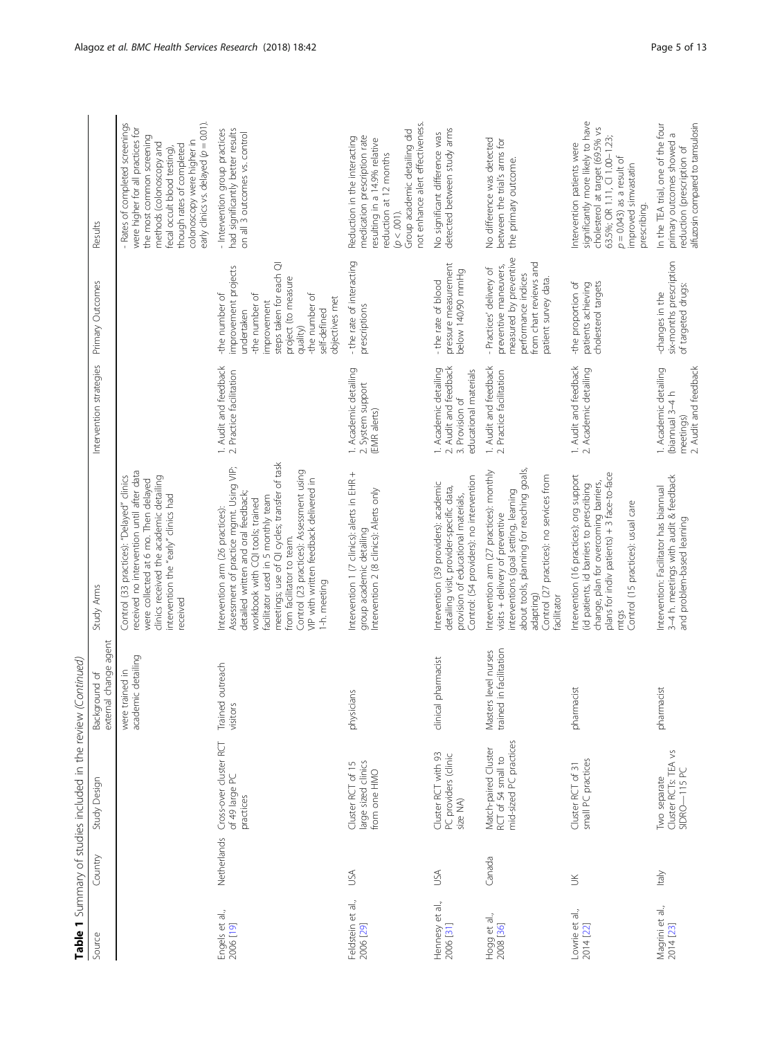|                                |              | Table 1 Summary of studies included in the review (Continued)        |                                                    |                                                                                                                                                                                                                                                                                                                                                                                 |                                                                                            |                                                                                                                                                                                                         |                                                                                                                                                                                                                                                                   |
|--------------------------------|--------------|----------------------------------------------------------------------|----------------------------------------------------|---------------------------------------------------------------------------------------------------------------------------------------------------------------------------------------------------------------------------------------------------------------------------------------------------------------------------------------------------------------------------------|--------------------------------------------------------------------------------------------|---------------------------------------------------------------------------------------------------------------------------------------------------------------------------------------------------------|-------------------------------------------------------------------------------------------------------------------------------------------------------------------------------------------------------------------------------------------------------------------|
| Source                         | Country      | Study Design                                                         | external change agent<br>Background of             | Study Arms                                                                                                                                                                                                                                                                                                                                                                      | Intervention strategies                                                                    | Primary Outcomes                                                                                                                                                                                        | Results                                                                                                                                                                                                                                                           |
|                                |              |                                                                      | academic detailing<br>were trained in              | received no intervention until after data<br>Control (33 practices): "Delayed" clinics<br>clinics received the academic detailing<br>were collected at 6 mo. Then delayed<br>intervention the "early" clinics had<br>received                                                                                                                                                   |                                                                                            |                                                                                                                                                                                                         | early clinics vs. delayed (p = 0.01).<br>- Rates of completed screenings<br>were higher for all practices for<br>the most common screening<br>colonoscopy were higher in<br>methods (colonoscopy and<br>though rates of completed<br>fecal occult blood testing), |
| Engels et al.,<br>2006 [19]    | Netherlands  | Cross-over cluster RCT<br>of 49 large PC<br>practices                | outreach<br>Trained<br>visitors                    | meetings; use of QI cycles; transfer of task<br>Assessment of practice mgmt. Using VIP;<br>Control (23 practices): Assessment using<br>VIP with written feedback delivered in<br>detailed written and oral feedback;<br>facilitator used in 5 monthly team<br>workbook with CQI tools; trained<br>Intervention arm (26 practices):<br>from facilitator to team.<br>1-h. meeting | 1. Audit and feedback<br>2. Practice facilitation                                          | steps taken for each QI<br>improvement projects<br>project (to measure<br>-the number of<br>-the number of<br>-the number of<br>objectives met<br>improvement<br>undertaken<br>self-defined<br>quality) | had significantly better results<br>on all 3 outcomes vs. control<br>- Intervention group practices                                                                                                                                                               |
| Feldstein et al.,<br>2006 [29] | <b>ASU</b>   | large sized clinics<br>Cluster RCT of 15<br>from one HMO             | physicians                                         | Intervention 1 (7 dinics): alerts in EHR +<br>Intervention 2 (8 clinics): Alerts only<br>group academic detailing                                                                                                                                                                                                                                                               | 1. Academic detailing<br>2. System support<br>(EMR alerts)                                 | - the rate of interacting<br>prescriptions                                                                                                                                                              | not enhance alert effectiveness.<br>Group academic detailing did<br>medication prescription rate<br>Reduction in the interacting<br>resulting in a 14.9% relative<br>reduction at 12 months<br>$(p < .001)$ .                                                     |
| Hennesy et al.,<br>2006 [31]   | υsΑ          | Cluster RCT with 93<br>PC providers (clinic<br>size NA)              | pharmacist<br>dinical                              | Control: (54 providers): no intervention<br>Intervention (39 providers): academic<br>detailing visit, provider-specific data,<br>provision of educational materials,                                                                                                                                                                                                            | 2. Audit and feedback<br>1. Academic detailing<br>educational materials<br>3. Provision of | pressure measurement<br>below 140/90 mmHg<br>- the rate of blood                                                                                                                                        | detected between study arms<br>No significant difference was                                                                                                                                                                                                      |
| Hogg et al.,<br>2008 [36]      | Canada       | mid-sized PC practices<br>Match-paired Cluster<br>RCT of 54 small to | in facilitation<br>Masters level nurses<br>trained | about tools, planning for reaching goals,<br>Intervention arm (27 practices): monthly<br>Control (27 practices): no services from<br>interventions (goal setting, learning<br>visits + delivery of preventive<br>adapting)<br>facilitator                                                                                                                                       | 1. Audit and feedback<br>2. Practice facilitation                                          | measured by preventive<br>from chart reviews and<br>preventive maneuvers,<br>- Practices' delivery of<br>performance indices<br>patient survey data.                                                    | No difference was detected<br>between the trial's arms for<br>the primary outcome.                                                                                                                                                                                |
| Lowrie et al.,<br>2014 [22]    | $\leq$       | small PC practices<br>Cluster RCT of 31                              | pharmacist                                         | plans for indiv patients) + 3 face-to-face<br>Intervention (16 practices): org support<br>change, plan for overcoming barriers,<br>(id patients, id barriers to prescribing<br>Control (15 practices): usual care<br>mtgs                                                                                                                                                       | 1. Audit and feedback<br>2. Academic detailing                                             | cholesterol targets<br>-the proportion of<br>patients achieving                                                                                                                                         | significantly more likely to have<br>cholesterol at target (69.5% vs<br>63.5%; OR 1.11, CI 1.00-1.23;<br>Intervention patients were<br>$p = 0.043$ ) as a result of<br>improved simvastatin<br>prescribing.                                                       |
| Magrini et al.,<br>2014 [23]   | <b>Italy</b> | S<br>Cluster RCTs: TEA<br>$SDRO-115PC$<br>Two separate               | pharmacist                                         | 3-4 h. meetings with audit & feedback<br>Intervention: Facilitator has biannual<br>and problem-based leaming                                                                                                                                                                                                                                                                    | 2. Audit and feedback<br>1. Academic detailing<br>(biannual 3-4 h<br>meetings)             | six-months prescription<br>of targeted drugs:<br>-changes in the                                                                                                                                        | In the TEA trial, one of the four<br>alfuzosin compared to tamsulosin<br>$\sigma$<br>primary outcomes showed<br>reduction (prescription of                                                                                                                        |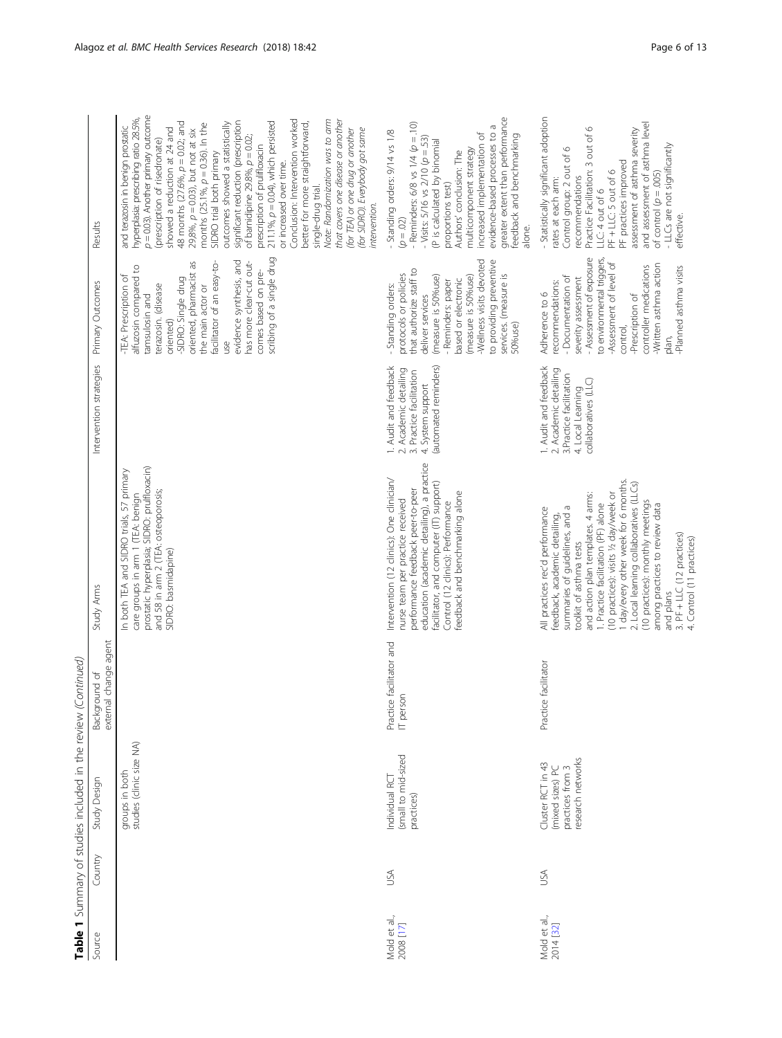|                                         |         | Table 1 Summary of studies included in the review (Continued)                  |                                        |                                                                                                                                                                                                                                                                                                                                                                                                                                                                                       |                                                                                                                          |                                                                                                                                                                                                                                                                                                                            |                                                                                                                                                                                                                                                                                                                                                                                                                                                                                                                                                                                                                                                                                                                                                                                                                                |
|-----------------------------------------|---------|--------------------------------------------------------------------------------|----------------------------------------|---------------------------------------------------------------------------------------------------------------------------------------------------------------------------------------------------------------------------------------------------------------------------------------------------------------------------------------------------------------------------------------------------------------------------------------------------------------------------------------|--------------------------------------------------------------------------------------------------------------------------|----------------------------------------------------------------------------------------------------------------------------------------------------------------------------------------------------------------------------------------------------------------------------------------------------------------------------|--------------------------------------------------------------------------------------------------------------------------------------------------------------------------------------------------------------------------------------------------------------------------------------------------------------------------------------------------------------------------------------------------------------------------------------------------------------------------------------------------------------------------------------------------------------------------------------------------------------------------------------------------------------------------------------------------------------------------------------------------------------------------------------------------------------------------------|
| Source                                  | Country | Study Design                                                                   | external change agent<br>Background of | Study Arms                                                                                                                                                                                                                                                                                                                                                                                                                                                                            | Intervention strategies                                                                                                  | Primary Outcomes                                                                                                                                                                                                                                                                                                           | Results                                                                                                                                                                                                                                                                                                                                                                                                                                                                                                                                                                                                                                                                                                                                                                                                                        |
|                                         |         | studies (clinic size NA)<br>groups in both                                     |                                        | prostatic hyperplasia; SIDRO: pruffloxacin)<br>In both TEA and SIDRO trials, 57 primary<br>and 58 in arm 2 (TEA: osteoporosis;<br>care groups in arm 1 (TEA: benign<br>SIDRO: basmidapine)                                                                                                                                                                                                                                                                                            |                                                                                                                          | scribing of a single drug<br>evidence synthesis, and<br>oriented, pharmacist as<br>facilitator of an easy-to-<br>has more clear-cut out-<br>alfuzosin compared to<br>comes based on pre-<br>-TEA: Prescription of<br>-SIDRO: Single drug<br>terazosin. (disease<br>the main actor or<br>tamsulosin and<br>oriented)<br>use | $p = 0.03$ ). Another primary outcome<br>hyperplasia: prescribing ratio 28.5%,<br>Conclusion: Intervention worked<br>Note: Randomization was to arm<br>that covers one disease or another<br>significant reduction (prescription<br>$211.1\%$ , $p = 0.04$ ), which persisted<br>48 months $(27.6\% \; p = 0.02;$ and<br>months $(25.1\% , p = 0.36)$ . In the<br>outcomes showed a statistically<br>better for more straightforward,<br>and terazosin in benign prostatic<br>showed a reduction at 24 and<br>(for SIDRO). Everybody got same<br>29,8%, $p = 0.03$ ), but not at six<br>(for TEA) or one drug or another<br>of barnidipine 29.8%, $p = 0.02$ ;<br>prescription of prulifloxacin<br>(prescription of risedronate)<br>SIDRO trial both primary<br>or increased over time.<br>single-drug trial.<br>intervention. |
| USA<br>Mold et al.,<br>2008 [17]        |         | (small to mid-sized<br>Individual RCT<br>practices)                            | Practice facilitator and<br>IT person  | education (academic detailing), a practice<br>Intervention (12 clinics): One clinician/<br>facilitator, and computer (IT) support)<br>performance feedback peer-to-peer<br>feedback and benchmarking alone<br>nurse team per practice received<br>Control (12 clinics): Performance                                                                                                                                                                                                   | (automated reminders)<br>1. Audit and feedback<br>2. Academic detailing<br>3. Practice facilitation<br>4. System support | -Wellness visits devoted<br>to providing preventive<br>that authorize staff to<br>protocols or policies<br>services. (measure is<br>(measure is 50%use)<br>(measure is 50%use)<br>based or electronic<br>- Reminders: paper<br>- Standing orders:<br>deliver services<br>50%use)                                           | greater extent than performance<br>- Reminders: $6/8$ vs $1/4$ ( $p = .10$ )<br>evidence-based processes to a<br>- Standing orders: 9/14 vs 1/8<br>increased implementation of<br>feedback and benchmarking<br>- Visits: 5/16 vs 2/10 ( $p = .53$ )<br>(P is calculated by binomial<br>multicomponent strategy<br>Authors' conclusion: The<br>proportions test)<br>$(50 - 9)$<br>alone.                                                                                                                                                                                                                                                                                                                                                                                                                                        |
| <b>ASU</b><br>Mold et al.,<br>2014 [32] |         | research networks<br>Cluster RCT in 43<br>practices from 3<br>(mixed sizes) PC | e facilitator<br>Practic               | I day/every other week for 6 months.<br>2. Local learning collaboratives (LLCs)<br>(10 practices): visits 1/2 day/week or<br>and action plan templates. 4 arms:<br>(10 practices): monthly meetings<br>I. Practice facilitation (PF) alone<br>among practices to review data<br>summaries of guidelines, and a<br>All practices rec'd performance<br>feedback, academic detailing,<br>3. PF + LLC (12 practices)<br>4. Control (11 practices)<br>toolkit of asthma tests<br>and plans | 1. Audit and feedback<br>2. Academic detailing<br>3. Practice facilitation<br>collaboratives (LLC)<br>4. Local Leaming   | to environmental triggers,<br>- Assessment of exposure<br>-Assessment of level of<br>-Written asthma action<br>controller medications<br>Planned asthma visits<br>- Documentation of<br>severity assessment<br>recommendations:<br>Adherence to 6<br>-Prescription of<br>control,<br>plan,                                 | - Statistically significant adoption<br>and assessment of asthma level<br>Practice Facilitation: 3 out of 6<br>assessment of asthma severity<br>- LLCs are not significantly<br>Control group: 2 out of 6<br>PF practices improved<br>PF + LLC: 5 out of 6<br>of control $(p=.005)$<br>recommendations<br>rates at each arm:<br>LLC: 4 out of 6<br>effective.                                                                                                                                                                                                                                                                                                                                                                                                                                                                  |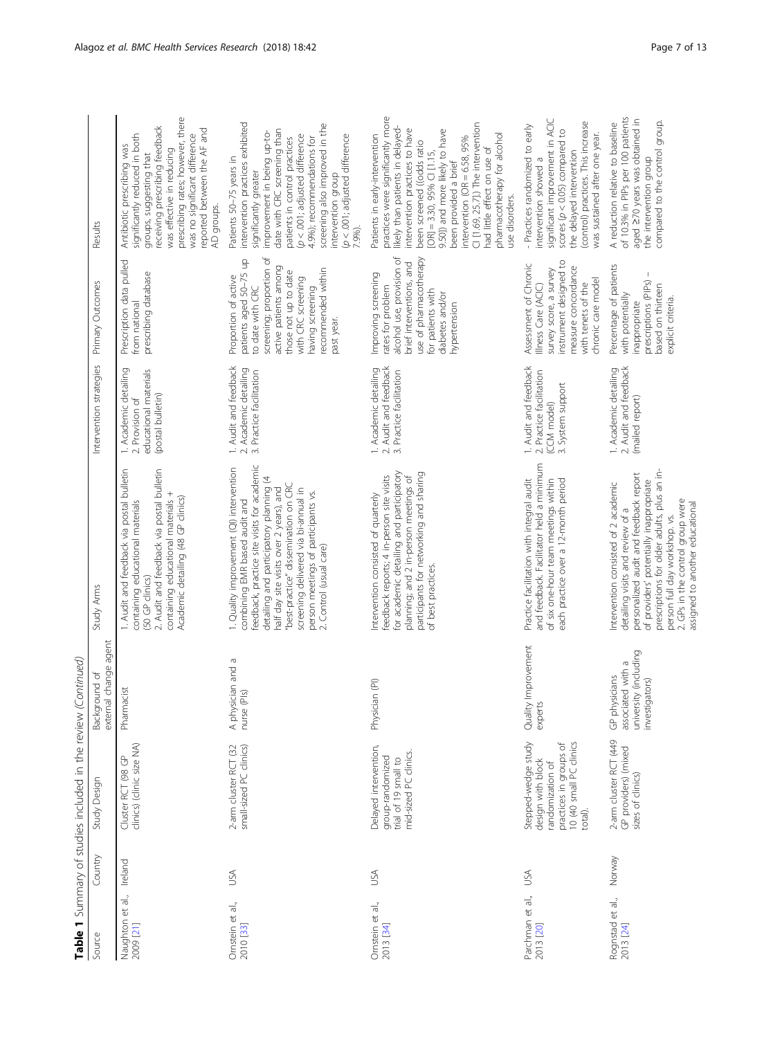| Source                        | Country    | Study Design                                                                                                                 | external change agent<br>Background of                                        | Study Arms                                                                                                                                                                                                                                                                                                                                                      | Intervention strategies                                                                | Primary Outcomes                                                                                                                                                                                                              | Results                                                                                                                                                                                                                                                                                                                                                                                                                        |
|-------------------------------|------------|------------------------------------------------------------------------------------------------------------------------------|-------------------------------------------------------------------------------|-----------------------------------------------------------------------------------------------------------------------------------------------------------------------------------------------------------------------------------------------------------------------------------------------------------------------------------------------------------------|----------------------------------------------------------------------------------------|-------------------------------------------------------------------------------------------------------------------------------------------------------------------------------------------------------------------------------|--------------------------------------------------------------------------------------------------------------------------------------------------------------------------------------------------------------------------------------------------------------------------------------------------------------------------------------------------------------------------------------------------------------------------------|
| Naughton et al.,<br>2009 [21] | Ireland    | clinics) (clinic size NA)<br>Cluster RCT (98 GP                                                                              | Pharmacist                                                                    | 2. Audit and feedback via postal bulletin<br>1. Audit and feedback via postal bulletin<br>containing educational materials +<br>Academic detailing (48 GP dinics)<br>containing educational materials<br>(50 GP clinics)                                                                                                                                        | 1. Academic detailing<br>educational materials<br>(postal bulletin)<br>2. Provision of | Prescription data pulled<br>prescribing database<br>from national                                                                                                                                                             | prescribing rates; however, there<br>receiving prescribing feedback<br>reported between the AF and<br>was no significant difference<br>significantly reduced in both<br>Antibiotic prescribing was<br>was effective in reducing<br>groups, suggesting that<br>AD groups.                                                                                                                                                       |
| Ornstein et al.,<br>2010 [33] | <b>ASU</b> | small-sized PC clinics)<br>2-arm cluster RCT (32                                                                             | A physician and a<br>(PIS)<br>nurse                                           | feedback, practice site visits for academic<br>1. Quality improvement (Q) intervention<br>combining EMR based audit and<br>detailing and participatory planning (4<br>"best-practice" dissemination on CRC<br>half day site visits over 2 years), and<br>screening delivered via bi-annual in<br>person meetings of participants vs.<br>2. Control (usual care) | 1. Audit and feedback<br>2. Academic detailing<br>3. Practice facilitation             | screening; proportion of<br>patients aged 50-75 up<br>active patients among<br>recommended within<br>those not up to date<br>Proportion of active<br>with CRC screening<br>to date with CRC<br>having screening<br>past year. | intervention practices exhibited<br>screening also improved in the<br>date with CRC screening than<br>improvement in being up-to-<br>$(p < .001;$ adjusted difference<br>$(p < .001;$ adjusted difference<br>4.9%); recommendations for<br>patients in control practices<br>Patients 50-75 years in<br>significantly greater<br>intervention group<br>7.9%).                                                                   |
| Ornstein et al.,<br>2013 [34] | υsΑ        | Delayed intervention,<br>trial of 19 small to<br>mid-sized PC clinics.<br>group-randomized                                   | ian (PI)<br>Physici                                                           | for academic detailing and participatory<br>participants for networking and sharing<br>feedback reports; 4 in-person site visits<br>planning; and 2 in-person meetings of<br>Intervention consisted of quarterly<br>of best practices.                                                                                                                          | 2. Audit and feedback<br>1. Academic detailing<br>Practice facilitation<br>$\vec{ }$   | alcohol use, provision of<br>use of pharmacotherapy<br>brief interventions, and<br>Improving screening<br>rates for problem<br>for patients with<br>diabetes and/or<br>hypertension                                           | practices were significantly more<br>CI [1.69, 25.7].) The intervention<br>likely than patients in delayed-<br>intervention practices to have<br>9.50]) and more likely to have<br>Patients in early-intervention<br>pharmacotherapy for alcohol<br>intervention ( $OR = 6.58$ , $95\%$<br>been screened ((odds ratio<br>had little effect on use of<br>$[OR] = 3.30, 95%$ C [1.15,<br>been provided a brief<br>use disorders. |
| Parchman et al.,<br>2013 [20] | USA        | Stepped-wedge study<br>practices in groups of<br>10 (40 small PC clinics<br>design with block<br>randomization of<br>total). | Quality Improvement<br>expert:                                                | and feedback. Facilitator held a minimum<br>of six one-hour team meetings within<br>each practice over a 12-month period<br>Practice facilitation with integral audit                                                                                                                                                                                           | 1. Audit and feedback<br>2. Practice facilitation<br>3. System support<br>(CCM model)  | instrument designed to<br>Assessment of Chronic<br>measure concordance<br>survey score, a survey<br>chronic care model<br>with tenets of the<br>Illness Care (ACIC)                                                           | significant improvement in ACIC<br>(control) practices. This increase<br>- Practices randomized to early<br>scores $(p < 0.05)$ compared to<br>was sustained after one year.<br>the delayed intervention<br>intervention showed a                                                                                                                                                                                              |
| Rognstad et al.,<br>2013 [24] | Norway     | 2-arm cluster RCT (449<br>GP providers) (mixed<br>sizes of clinics)                                                          | university (including<br>associated with a<br>GP physicians<br>investigators) | prescriptions for older adults, plus an in-<br>personalized audit and feedback report<br>of providers' potentially inappropriate<br>Intervention consisted of 2 academic<br>2. GPs in the control group were<br>assigned to another educational<br>detailing visits and review of a<br>person full day workshop. vs.                                            | 2. Audit and feedback<br>1. Academic detailing<br>(mailed report)                      | Percentage of patients<br>prescriptions (PIPs)<br>based on thirteen<br>with potentially<br>explicit criteria.<br>nappropriate                                                                                                 | of 10.3% in PIPs per 100 patients<br>aged 270 years was obtained in<br>compared to the control group.<br>A reduction relative to baseline<br>the intervention group                                                                                                                                                                                                                                                            |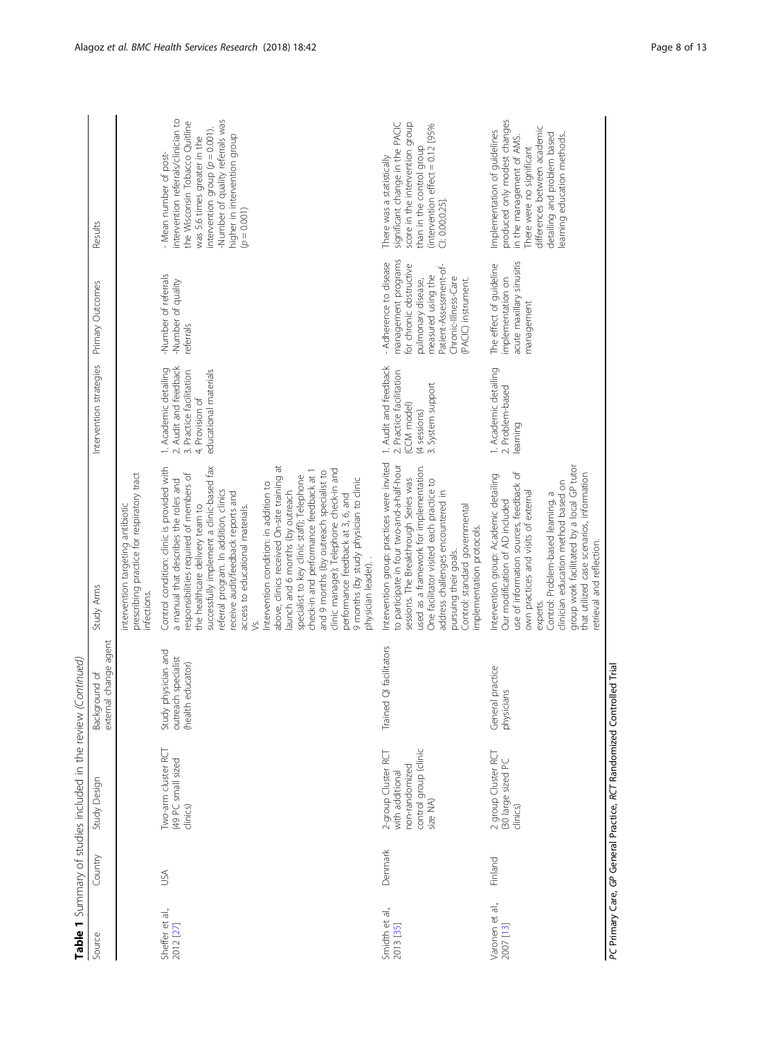|                              |         | Table 1 Summary of studies included in the review (Continued)                                 |                                                                    |                                                                                                                                                                                                                                                                                                                                                                                                                                                                                                                                                                                                                                                                                                                                                    |                                                                                                                        |                                                                                                                                                                                               |                                                                                                                                                                                                                                                            |
|------------------------------|---------|-----------------------------------------------------------------------------------------------|--------------------------------------------------------------------|----------------------------------------------------------------------------------------------------------------------------------------------------------------------------------------------------------------------------------------------------------------------------------------------------------------------------------------------------------------------------------------------------------------------------------------------------------------------------------------------------------------------------------------------------------------------------------------------------------------------------------------------------------------------------------------------------------------------------------------------------|------------------------------------------------------------------------------------------------------------------------|-----------------------------------------------------------------------------------------------------------------------------------------------------------------------------------------------|------------------------------------------------------------------------------------------------------------------------------------------------------------------------------------------------------------------------------------------------------------|
| Source                       | Country | Study Design                                                                                  | change agent<br>Background of<br>external                          | Study Arms                                                                                                                                                                                                                                                                                                                                                                                                                                                                                                                                                                                                                                                                                                                                         | Intervention strategies                                                                                                | Primary Outcomes                                                                                                                                                                              | Results                                                                                                                                                                                                                                                    |
|                              |         |                                                                                               |                                                                    | prescribing practice for respiratory tract<br>intervention targeting antibiotic<br>infections.                                                                                                                                                                                                                                                                                                                                                                                                                                                                                                                                                                                                                                                     |                                                                                                                        |                                                                                                                                                                                               |                                                                                                                                                                                                                                                            |
| Sheffer et al.,<br>2012 [27] | ΑSΠ     | Two-arm cluster RCT<br>(49 PC small sized<br>clinics)                                         | Study physician and<br>specialist<br>(health educator)<br>outreach | above, clinics received On-site training at<br>successfully implement a clinic-based fax<br>Control condition: clinic is provided with<br>clinic manager); Telephone check-in and<br>check-in and performance feedback at 1<br>and 9 months (by outreach specialist to<br>responsibilities required of members of<br>specialist to key clinic staff); Telephone<br>9 months (by study physician to clinic<br>a manual that describes the roles and<br>Intervention condition: in addition to<br>referral program. In addition, clinics<br>launch and 6 months (by outreach<br>receive audit/feedback reports and<br>performance feedback at 3, 6, and<br>the healthcare delivery team to<br>access to educational materials.<br>physician leader). | 2. Audit and feedback<br>1. Academic detailing<br>3. Practice facilitation<br>educational materials<br>4. Provision of | -Number of referrals<br>-Number of quality<br>referrals                                                                                                                                       | intervention referrals/clinician to<br>-Number of quality referrals was<br>the Wisconsin Tobacco Quitline<br>intervention group $(p = 0.001)$ .<br>higher in intervention group<br>was 5.6 times greater in the<br>- Mean number of post-<br>$(p = 0.001)$ |
| Smidth et al.,<br>2013 [35]  | Denmark | control group (clinic<br>size NA)<br>2-group Cluster RCT<br>non-randomized<br>with additional | Trained QI facilitators                                            | Intervention group: practices were invited<br>to participate in four two-and-a-half-hour<br>used as a framework for implementation.<br>sessions. The Breakthrough Series was<br>One facilitator visited each practice to<br>address challenges encountered in<br>Control: standard governmental<br>implementation protocols.<br>pursuing their goals.                                                                                                                                                                                                                                                                                                                                                                                              | 1. Audit and feedback<br>2. Practice facilitation<br>3. System support<br>(CCM model)<br>(4 sessions)                  | management programs<br>- Adherence to disease<br>for chronic obstructive<br>Patient-Assessment-of-<br>measured using the<br>Chronic-Illness-Care<br>pulmonary disease,<br>(PACIC) instrument. | significant change in the PACIC<br>score in the intervention group<br>(intervention effect $= 0.12$ [95%<br>than in the control group<br>There was a statistically<br>CI: 0.00;0.25].                                                                      |
| Varonen et al.,<br>2007 [13] | Finland | 2 group Cluster RCT<br>(30 large sized PC<br>clinics)                                         | practice<br>physician<br>General                                   | group work facilitated by a local GP tutor<br>use of information sources, feedback of<br>that utilized case scenarios, information<br>Intervention group: Academic detailing<br>clinician education method based on<br>own practices and visits of external<br>Control: Problem-based learning, a<br>Our modification of AD included<br>retrieval and reflection.<br>experts.                                                                                                                                                                                                                                                                                                                                                                      | 1. Academic detailing<br>2. Problem-based<br>learning                                                                  | acute maxillary sinusitis<br>The effect of guideline<br>implementation on<br>management                                                                                                       | produced only modest changes<br>in the management of AMS.<br>differences between academic<br>Implementation of quidelines<br>earning education methods<br>detailing and problem based<br>There were no significant                                         |
|                              |         | PC Primary Care, GP General Practice, RCT Randomized Controll                                 | ed Trial                                                           |                                                                                                                                                                                                                                                                                                                                                                                                                                                                                                                                                                                                                                                                                                                                                    |                                                                                                                        |                                                                                                                                                                                               |                                                                                                                                                                                                                                                            |

PC Primary Care, GP General Practice, RCT Randomized Controlled Trial  $\frac{1}{2}$ ້ອຸ g<br>و <sup>⁄</sup>C Primary Care, G*P*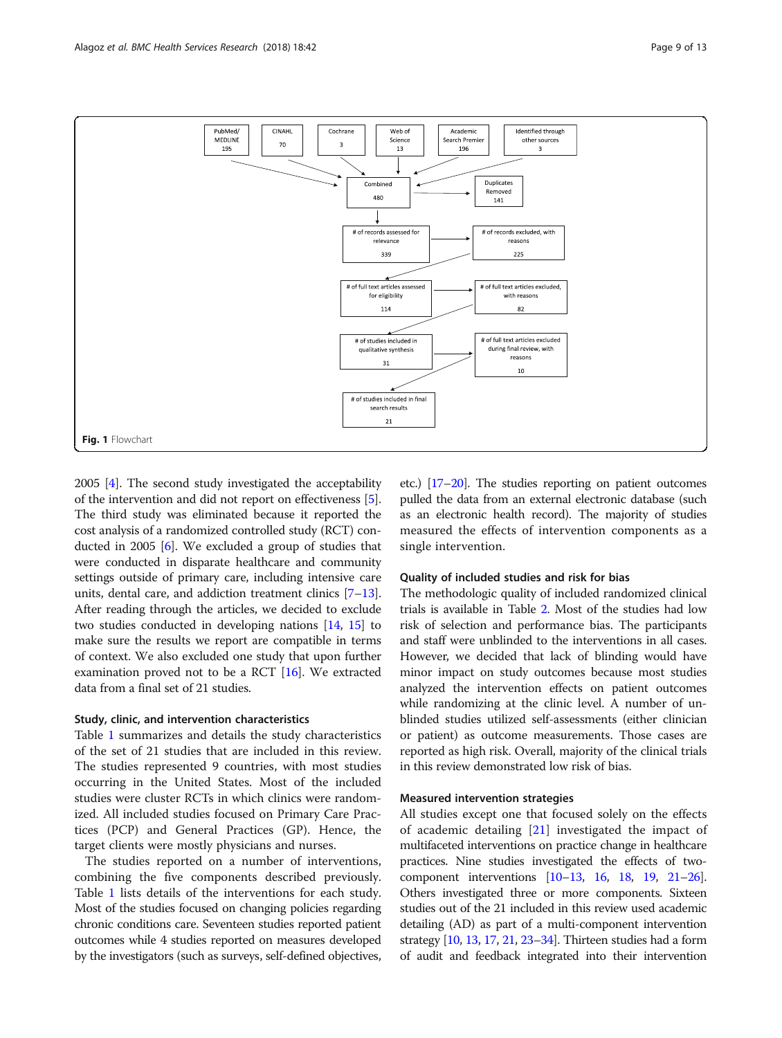<span id="page-8-0"></span>

2005 [[4\]](#page-11-0). The second study investigated the acceptability of the intervention and did not report on effectiveness [[5](#page-11-0)]. The third study was eliminated because it reported the cost analysis of a randomized controlled study (RCT) conducted in 2005 [\[6](#page-11-0)]. We excluded a group of studies that were conducted in disparate healthcare and community settings outside of primary care, including intensive care units, dental care, and addiction treatment clinics [\[7](#page-11-0)–[13](#page-11-0)]. After reading through the articles, we decided to exclude two studies conducted in developing nations [[14](#page-11-0), [15](#page-11-0)] to make sure the results we report are compatible in terms of context. We also excluded one study that upon further examination proved not to be a RCT [\[16\]](#page-11-0). We extracted data from a final set of 21 studies.

# Study, clinic, and intervention characteristics

Table [1](#page-3-0) summarizes and details the study characteristics of the set of 21 studies that are included in this review. The studies represented 9 countries, with most studies occurring in the United States. Most of the included studies were cluster RCTs in which clinics were randomized. All included studies focused on Primary Care Practices (PCP) and General Practices (GP). Hence, the target clients were mostly physicians and nurses.

The studies reported on a number of interventions, combining the five components described previously. Table [1](#page-3-0) lists details of the interventions for each study. Most of the studies focused on changing policies regarding chronic conditions care. Seventeen studies reported patient outcomes while 4 studies reported on measures developed by the investigators (such as surveys, self-defined objectives,

etc.) [\[17](#page-11-0)–[20](#page-11-0)]. The studies reporting on patient outcomes pulled the data from an external electronic database (such as an electronic health record). The majority of studies measured the effects of intervention components as a single intervention.

#### Quality of included studies and risk for bias

The methodologic quality of included randomized clinical trials is available in Table [2.](#page-9-0) Most of the studies had low risk of selection and performance bias. The participants and staff were unblinded to the interventions in all cases. However, we decided that lack of blinding would have minor impact on study outcomes because most studies analyzed the intervention effects on patient outcomes while randomizing at the clinic level. A number of unblinded studies utilized self-assessments (either clinician or patient) as outcome measurements. Those cases are reported as high risk. Overall, majority of the clinical trials in this review demonstrated low risk of bias.

# Measured intervention strategies

All studies except one that focused solely on the effects of academic detailing [[21\]](#page-11-0) investigated the impact of multifaceted interventions on practice change in healthcare practices. Nine studies investigated the effects of twocomponent interventions [[10](#page-11-0)–[13](#page-11-0), [16](#page-11-0), [18,](#page-11-0) [19,](#page-11-0) [21](#page-11-0)–[26](#page-12-0)]. Others investigated three or more components. Sixteen studies out of the 21 included in this review used academic detailing (AD) as part of a multi-component intervention strategy [[10](#page-11-0), [13](#page-11-0), [17](#page-11-0), [21](#page-11-0), [23](#page-11-0)–[34\]](#page-12-0). Thirteen studies had a form of audit and feedback integrated into their intervention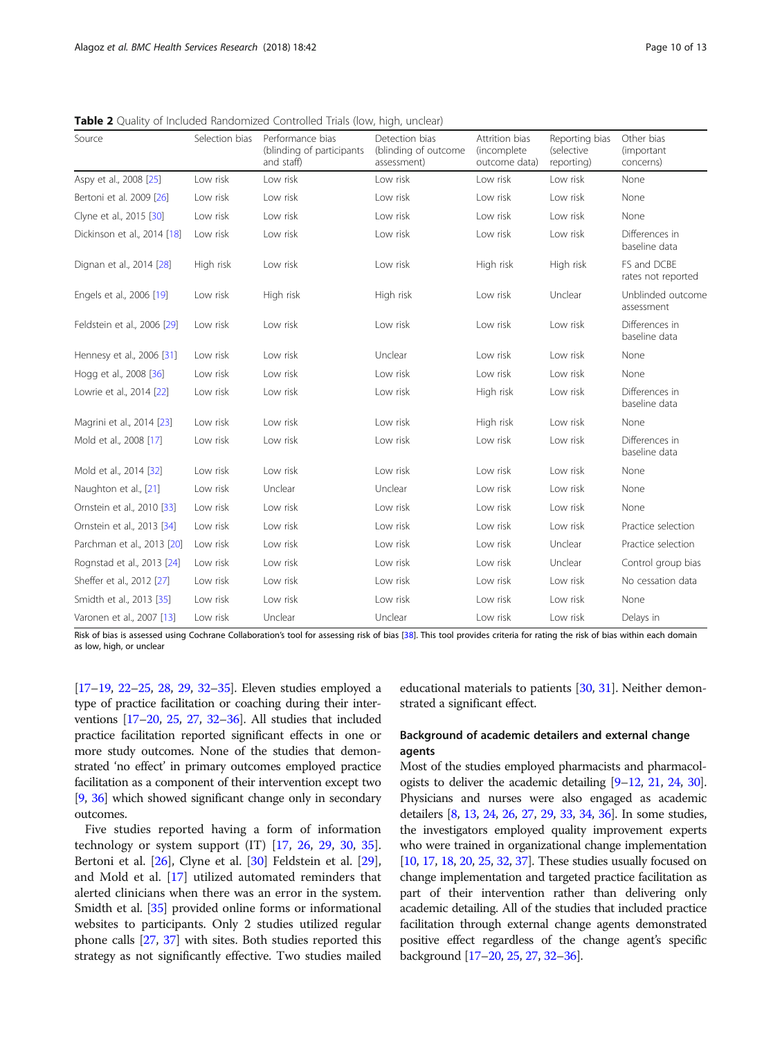| Source                      | Selection bias | Performance bias<br>(blinding of participants)<br>and staff) | Detection bias<br>(blinding of outcome<br>assessment) | Attrition bias<br><i>(incomplete)</i><br>outcome data) | Reporting bias<br><i>(selective</i><br>reporting) | Other bias<br>(important<br>concerns) |
|-----------------------------|----------------|--------------------------------------------------------------|-------------------------------------------------------|--------------------------------------------------------|---------------------------------------------------|---------------------------------------|
| Aspy et al., 2008 [25]      | Low risk       | Low risk                                                     | Low risk                                              | Low risk                                               | Low risk                                          | None                                  |
| Bertoni et al. 2009 [26]    | Low risk       | Low risk                                                     | Low risk                                              | Low risk                                               | Low risk                                          | None                                  |
| Clyne et al., 2015 [30]     | Low risk       | Low risk                                                     | Low risk                                              | Low risk                                               | Low risk                                          | None                                  |
| Dickinson et al., 2014 [18] | Low risk       | Low risk                                                     | Low risk                                              | Low risk                                               | Low risk                                          | Differences in<br>baseline data       |
| Dignan et al., 2014 [28]    | High risk      | Low risk                                                     | Low risk                                              | High risk                                              | High risk                                         | FS and DCBE<br>rates not reported     |
| Engels et al., 2006 [19]    | Low risk       | High risk                                                    | High risk                                             | Low risk                                               | Unclear                                           | Unblinded outcome<br>assessment       |
| Feldstein et al., 2006 [29] | Low risk       | Low risk                                                     | I ow risk                                             | Low risk                                               | I ow risk                                         | Differences in<br>baseline data       |
| Hennesy et al., 2006 [31]   | Low risk       | Low risk                                                     | Unclear                                               | Low risk                                               | Low risk                                          | None                                  |
| Hogg et al., 2008 [36]      | Low risk       | Low risk                                                     | Low risk                                              | Low risk                                               | Low risk                                          | None                                  |
| Lowrie et al., 2014 [22]    | Low risk       | Low risk                                                     | Low risk                                              | High risk                                              | Low risk                                          | Differences in<br>baseline data       |
| Magrini et al., 2014 [23]   | Low risk       | Low risk                                                     | Low risk                                              | High risk                                              | Low risk                                          | None                                  |
| Mold et al., 2008 [17]      | Low risk       | Low risk                                                     | Low risk                                              | Low risk                                               | Low risk                                          | Differences in<br>baseline data       |
| Mold et al., 2014 [32]      | Low risk       | Low risk                                                     | Low risk                                              | Low risk                                               | Low risk                                          | None                                  |
| Naughton et al., [21]       | Low risk       | Unclear                                                      | Unclear                                               | Low risk                                               | Low risk                                          | None                                  |
| Ornstein et al., 2010 [33]  | Low risk       | Low risk                                                     | Low risk                                              | Low risk                                               | Low risk                                          | None                                  |
| Ornstein et al., 2013 [34]  | Low risk       | Low risk                                                     | Low risk                                              | Low risk                                               | Low risk                                          | Practice selection                    |
| Parchman et al., 2013 [20]  | Low risk       | Low risk                                                     | Low risk                                              | Low risk                                               | Unclear                                           | Practice selection                    |
| Rognstad et al., 2013 [24]  | Low risk       | Low risk                                                     | Low risk                                              | Low risk                                               | Unclear                                           | Control group bias                    |
| Sheffer et al., 2012 [27]   | Low risk       | Low risk                                                     | Low risk                                              | Low risk                                               | Low risk                                          | No cessation data                     |
| Smidth et al., 2013 [35]    | Low risk       | Low risk                                                     | Low risk                                              | Low risk                                               | Low risk                                          | None                                  |
| Varonen et al., 2007 [13]   | Low risk       | Unclear                                                      | Unclear                                               | Low risk                                               | I ow risk                                         | Delays in                             |

<span id="page-9-0"></span>Table 2 Quality of Included Randomized Controlled Trials (low, high, unclear)

Risk of bias is assessed using Cochrane Collaboration's tool for assessing risk of bias [[38](#page-12-0)]. This tool provides criteria for rating the risk of bias within each domain as low, high, or unclear

[[17](#page-11-0)–[19](#page-11-0), [22](#page-11-0)–[25,](#page-12-0) [28,](#page-12-0) [29](#page-12-0), [32](#page-12-0)–[35](#page-12-0)]. Eleven studies employed a type of practice facilitation or coaching during their interventions [[17](#page-11-0)–[20](#page-11-0), [25,](#page-12-0) [27,](#page-12-0) [32](#page-12-0)–[36](#page-12-0)]. All studies that included practice facilitation reported significant effects in one or more study outcomes. None of the studies that demonstrated 'no effect' in primary outcomes employed practice facilitation as a component of their intervention except two [[9](#page-11-0), [36](#page-12-0)] which showed significant change only in secondary outcomes.

Five studies reported having a form of information technology or system support  $(IT)$   $[17, 26, 29, 30, 35]$  $[17, 26, 29, 30, 35]$  $[17, 26, 29, 30, 35]$  $[17, 26, 29, 30, 35]$  $[17, 26, 29, 30, 35]$  $[17, 26, 29, 30, 35]$  $[17, 26, 29, 30, 35]$  $[17, 26, 29, 30, 35]$  $[17, 26, 29, 30, 35]$  $[17, 26, 29, 30, 35]$ . Bertoni et al. [[26\]](#page-12-0), Clyne et al. [\[30\]](#page-12-0) Feldstein et al. [\[29](#page-12-0)], and Mold et al. [\[17\]](#page-11-0) utilized automated reminders that alerted clinicians when there was an error in the system. Smidth et al. [\[35\]](#page-12-0) provided online forms or informational websites to participants. Only 2 studies utilized regular phone calls [\[27,](#page-12-0) [37](#page-12-0)] with sites. Both studies reported this strategy as not significantly effective. Two studies mailed

educational materials to patients [\[30](#page-12-0), [31\]](#page-12-0). Neither demonstrated a significant effect.

# Background of academic detailers and external change agents

Most of the studies employed pharmacists and pharmacologists to deliver the academic detailing [\[9](#page-11-0)–[12](#page-11-0), [21](#page-11-0), [24](#page-12-0), [30](#page-12-0)]. Physicians and nurses were also engaged as academic detailers [[8](#page-11-0), [13,](#page-11-0) [24,](#page-12-0) [26](#page-12-0), [27,](#page-12-0) [29,](#page-12-0) [33](#page-12-0), [34,](#page-12-0) [36](#page-12-0)]. In some studies, the investigators employed quality improvement experts who were trained in organizational change implementation [[10](#page-11-0), [17](#page-11-0), [18,](#page-11-0) [20,](#page-11-0) [25,](#page-12-0) [32](#page-12-0), [37](#page-12-0)]. These studies usually focused on change implementation and targeted practice facilitation as part of their intervention rather than delivering only academic detailing. All of the studies that included practice facilitation through external change agents demonstrated positive effect regardless of the change agent's specific background [\[17](#page-11-0)–[20,](#page-11-0) [25,](#page-12-0) [27,](#page-12-0) [32](#page-12-0)–[36](#page-12-0)].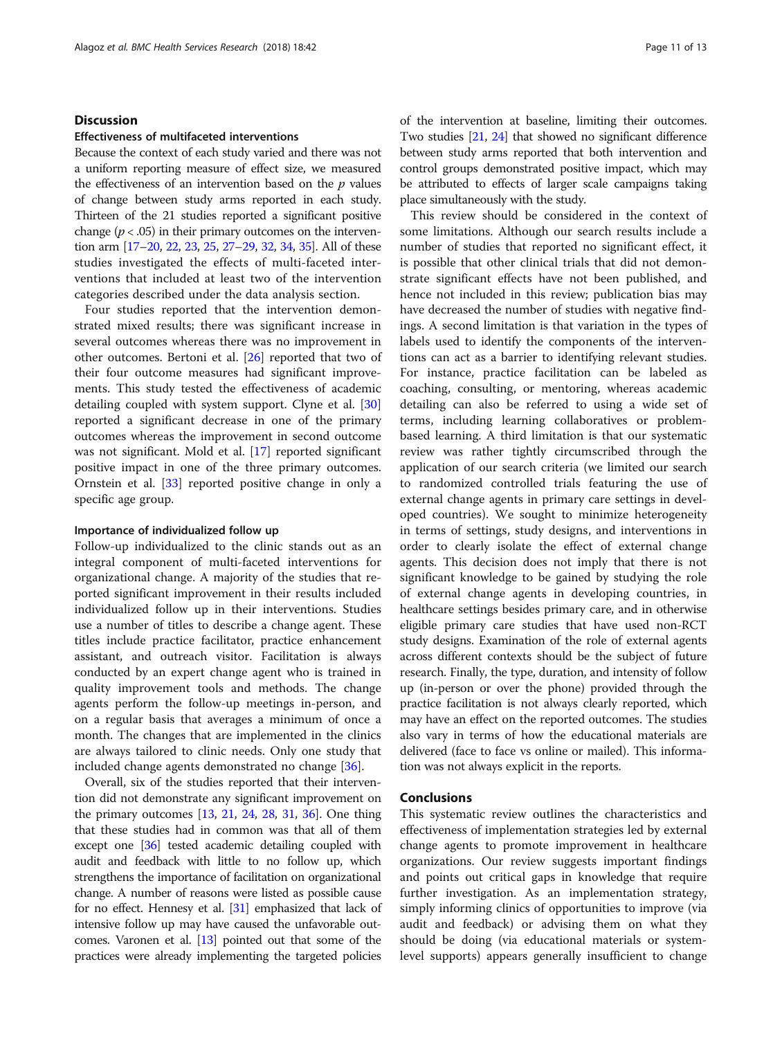# **Discussion**

# Effectiveness of multifaceted interventions

Because the context of each study varied and there was not a uniform reporting measure of effect size, we measured the effectiveness of an intervention based on the  $p$  values of change between study arms reported in each study. Thirteen of the 21 studies reported a significant positive change  $(p < .05)$  in their primary outcomes on the intervention arm [[17](#page-11-0)–[20,](#page-11-0) [22,](#page-11-0) [23](#page-11-0), [25,](#page-12-0) [27](#page-12-0)–[29](#page-12-0), [32,](#page-12-0) [34,](#page-12-0) [35](#page-12-0)]. All of these studies investigated the effects of multi-faceted interventions that included at least two of the intervention categories described under the data analysis section.

Four studies reported that the intervention demonstrated mixed results; there was significant increase in several outcomes whereas there was no improvement in other outcomes. Bertoni et al. [[26](#page-12-0)] reported that two of their four outcome measures had significant improvements. This study tested the effectiveness of academic detailing coupled with system support. Clyne et al. [[30](#page-12-0)] reported a significant decrease in one of the primary outcomes whereas the improvement in second outcome was not significant. Mold et al. [\[17](#page-11-0)] reported significant positive impact in one of the three primary outcomes. Ornstein et al. [\[33\]](#page-12-0) reported positive change in only a specific age group.

#### Importance of individualized follow up

Follow-up individualized to the clinic stands out as an integral component of multi-faceted interventions for organizational change. A majority of the studies that reported significant improvement in their results included individualized follow up in their interventions. Studies use a number of titles to describe a change agent. These titles include practice facilitator, practice enhancement assistant, and outreach visitor. Facilitation is always conducted by an expert change agent who is trained in quality improvement tools and methods. The change agents perform the follow-up meetings in-person, and on a regular basis that averages a minimum of once a month. The changes that are implemented in the clinics are always tailored to clinic needs. Only one study that included change agents demonstrated no change [\[36](#page-12-0)].

Overall, six of the studies reported that their intervention did not demonstrate any significant improvement on the primary outcomes [[13](#page-11-0), [21,](#page-11-0) [24,](#page-12-0) [28](#page-12-0), [31,](#page-12-0) [36](#page-12-0)]. One thing that these studies had in common was that all of them except one [\[36](#page-12-0)] tested academic detailing coupled with audit and feedback with little to no follow up, which strengthens the importance of facilitation on organizational change. A number of reasons were listed as possible cause for no effect. Hennesy et al. [[31](#page-12-0)] emphasized that lack of intensive follow up may have caused the unfavorable outcomes. Varonen et al. [\[13](#page-11-0)] pointed out that some of the practices were already implementing the targeted policies

of the intervention at baseline, limiting their outcomes. Two studies [[21](#page-11-0), [24](#page-12-0)] that showed no significant difference between study arms reported that both intervention and control groups demonstrated positive impact, which may be attributed to effects of larger scale campaigns taking place simultaneously with the study.

This review should be considered in the context of some limitations. Although our search results include a number of studies that reported no significant effect, it is possible that other clinical trials that did not demonstrate significant effects have not been published, and hence not included in this review; publication bias may have decreased the number of studies with negative findings. A second limitation is that variation in the types of labels used to identify the components of the interventions can act as a barrier to identifying relevant studies. For instance, practice facilitation can be labeled as coaching, consulting, or mentoring, whereas academic detailing can also be referred to using a wide set of terms, including learning collaboratives or problembased learning. A third limitation is that our systematic review was rather tightly circumscribed through the application of our search criteria (we limited our search to randomized controlled trials featuring the use of external change agents in primary care settings in developed countries). We sought to minimize heterogeneity in terms of settings, study designs, and interventions in order to clearly isolate the effect of external change agents. This decision does not imply that there is not significant knowledge to be gained by studying the role of external change agents in developing countries, in healthcare settings besides primary care, and in otherwise eligible primary care studies that have used non-RCT study designs. Examination of the role of external agents across different contexts should be the subject of future research. Finally, the type, duration, and intensity of follow up (in-person or over the phone) provided through the practice facilitation is not always clearly reported, which may have an effect on the reported outcomes. The studies also vary in terms of how the educational materials are delivered (face to face vs online or mailed). This information was not always explicit in the reports.

#### Conclusions

This systematic review outlines the characteristics and effectiveness of implementation strategies led by external change agents to promote improvement in healthcare organizations. Our review suggests important findings and points out critical gaps in knowledge that require further investigation. As an implementation strategy, simply informing clinics of opportunities to improve (via audit and feedback) or advising them on what they should be doing (via educational materials or systemlevel supports) appears generally insufficient to change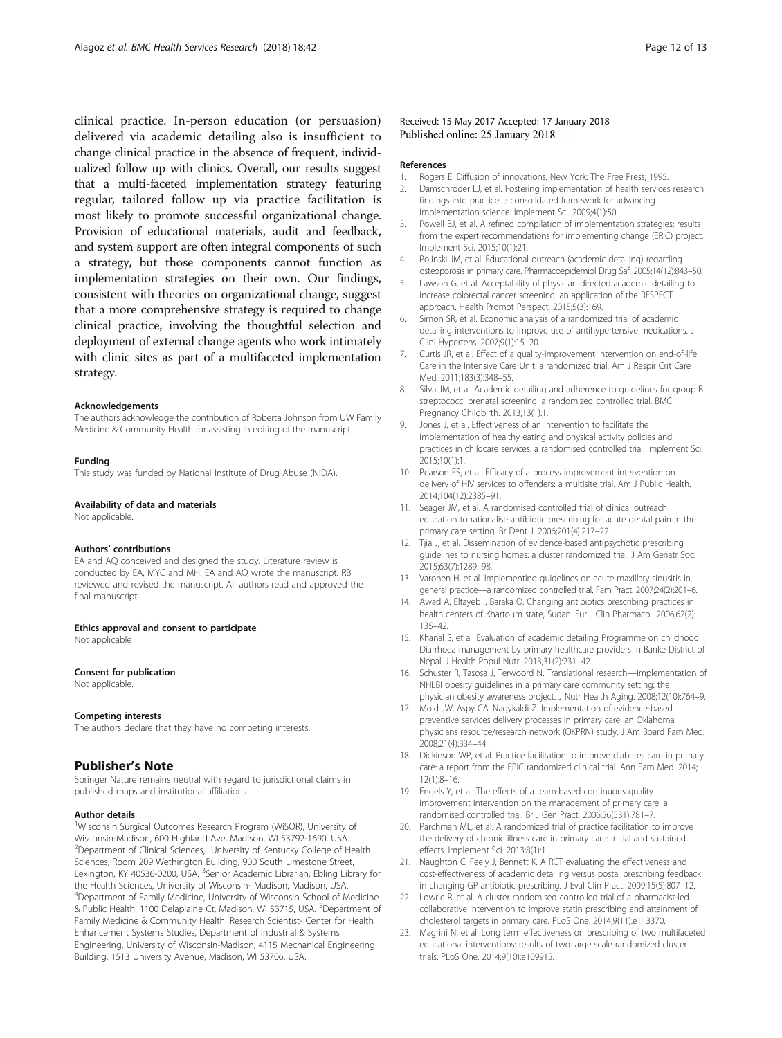<span id="page-11-0"></span>clinical practice. In-person education (or persuasion) delivered via academic detailing also is insufficient to change clinical practice in the absence of frequent, individualized follow up with clinics. Overall, our results suggest that a multi-faceted implementation strategy featuring regular, tailored follow up via practice facilitation is most likely to promote successful organizational change. Provision of educational materials, audit and feedback, and system support are often integral components of such a strategy, but those components cannot function as implementation strategies on their own. Our findings, consistent with theories on organizational change, suggest that a more comprehensive strategy is required to change clinical practice, involving the thoughtful selection and deployment of external change agents who work intimately with clinic sites as part of a multifaceted implementation strategy.

#### Acknowledgements

The authors acknowledge the contribution of Roberta Johnson from UW Family Medicine & Community Health for assisting in editing of the manuscript.

#### Funding

This study was funded by National Institute of Drug Abuse (NIDA).

#### Availability of data and materials

Not applicable.

#### Authors' contributions

EA and AQ conceived and designed the study. Literature review is conducted by EA, MYC and MH. EA and AQ wrote the manuscript. RB reviewed and revised the manuscript. All authors read and approved the final manuscript.

#### Ethics approval and consent to participate

Not applicable

#### Consent for publication

Not applicable.

#### Competing interests

The authors declare that they have no competing interests.

# Publisher's Note

Springer Nature remains neutral with regard to jurisdictional claims in published maps and institutional affiliations.

#### Author details

<sup>1</sup>Wisconsin Surgical Outcomes Research Program (WiSOR), University of Wisconsin-Madison, 600 Highland Ave, Madison, WI 53792-1690, USA. <sup>2</sup>Department of Clinical Sciences, University of Kentucky College of Health Sciences, Room 209 Wethington Building, 900 South Limestone Street, Lexington, KY 40536-0200, USA. <sup>3</sup>Senior Academic Librarian, Ebling Library for the Health Sciences, University of Wisconsin- Madison, Madison, USA. 4 Department of Family Medicine, University of Wisconsin School of Medicine & Public Health, 1100 Delaplaine Ct, Madison, WI 53715, USA. <sup>5</sup>Department of Family Medicine & Community Health, Research Scientist- Center for Health Enhancement Systems Studies, Department of Industrial & Systems Engineering, University of Wisconsin-Madison, 4115 Mechanical Engineering Building, 1513 University Avenue, Madison, WI 53706, USA.

#### Received: 15 May 2017 Accepted: 17 January 2018 Published online: 25 January 2018

#### References

- 1. Rogers E. Diffusion of innovations. New York: The Free Press; 1995.
- 2. Damschroder LJ, et al. Fostering implementation of health services research findings into practice: a consolidated framework for advancing implementation science. Implement Sci. 2009;4(1):50.
- 3. Powell BJ, et al. A refined compilation of implementation strategies: results from the expert recommendations for implementing change (ERIC) project. Implement Sci. 2015;10(1):21.
- 4. Polinski JM, et al. Educational outreach (academic detailing) regarding osteoporosis in primary care. Pharmacoepidemiol Drug Saf. 2005;14(12):843–50.
- 5. Lawson G, et al. Acceptability of physician directed academic detailing to increase colorectal cancer screening: an application of the RESPECT approach. Health Promot Perspect. 2015;5(3):169.
- 6. Simon SR, et al. Economic analysis of a randomized trial of academic detailing interventions to improve use of antihypertensive medications. J Clini Hypertens. 2007;9(1):15–20.
- 7. Curtis JR, et al. Effect of a quality-improvement intervention on end-of-life Care in the Intensive Care Unit: a randomized trial. Am J Respir Crit Care Med. 2011;183(3):348–55.
- 8. Silva JM, et al. Academic detailing and adherence to guidelines for group B streptococci prenatal screening: a randomized controlled trial. BMC Pregnancy Childbirth. 2013;13(1):1.
- 9. Jones J, et al. Effectiveness of an intervention to facilitate the implementation of healthy eating and physical activity policies and practices in childcare services: a randomised controlled trial. Implement Sci. 2015;10(1):1.
- 10. Pearson FS, et al. Efficacy of a process improvement intervention on delivery of HIV services to offenders: a multisite trial. Am J Public Health. 2014;104(12):2385–91.
- 11. Seager JM, et al. A randomised controlled trial of clinical outreach education to rationalise antibiotic prescribing for acute dental pain in the primary care setting. Br Dent J. 2006;201(4):217–22.
- 12. Tjia J, et al. Dissemination of evidence-based antipsychotic prescribing guidelines to nursing homes: a cluster randomized trial. J Am Geriatr Soc. 2015;63(7):1289–98.
- 13. Varonen H, et al. Implementing guidelines on acute maxillary sinusitis in general practice—a randomized controlled trial. Fam Pract. 2007;24(2):201–6.
- 14. Awad A, Eltayeb I, Baraka O. Changing antibiotics prescribing practices in health centers of Khartoum state, Sudan. Eur J Clin Pharmacol. 2006;62(2): 135–42.
- 15. Khanal S, et al. Evaluation of academic detailing Programme on childhood Diarrhoea management by primary healthcare providers in Banke District of Nepal. J Health Popul Nutr. 2013;31(2):231–42.
- 16. Schuster R, Tasosa J, Terwoord N. Translational research—implementation of NHLBI obesity guidelines in a primary care community setting: the physician obesity awareness project. J Nutr Health Aging. 2008;12(10):764–9.
- 17. Mold JW, Aspy CA, Nagykaldi Z. Implementation of evidence-based preventive services delivery processes in primary care: an Oklahoma physicians resource/research network (OKPRN) study. J Am Board Fam Med. 2008;21(4):334–44.
- 18. Dickinson WP, et al. Practice facilitation to improve diabetes care in primary care: a report from the EPIC randomized clinical trial. Ann Fam Med. 2014; 12(1):8–16.
- 19. Engels Y, et al. The effects of a team-based continuous quality improvement intervention on the management of primary care: a randomised controlled trial. Br J Gen Pract. 2006;56(531):781–7.
- 20. Parchman ML, et al. A randomized trial of practice facilitation to improve the delivery of chronic illness care in primary care: initial and sustained effects. Implement Sci. 2013;8(1):1.
- 21. Naughton C, Feely J, Bennett K. A RCT evaluating the effectiveness and cost-effectiveness of academic detailing versus postal prescribing feedback in changing GP antibiotic prescribing. J Eval Clin Pract. 2009;15(5):807–12.
- 22. Lowrie R, et al. A cluster randomised controlled trial of a pharmacist-led collaborative intervention to improve statin prescribing and attainment of cholesterol targets in primary care. PLoS One. 2014;9(11):e113370.
- 23. Magrini N, et al. Long term effectiveness on prescribing of two multifaceted educational interventions: results of two large scale randomized cluster trials. PLoS One. 2014;9(10):e109915.